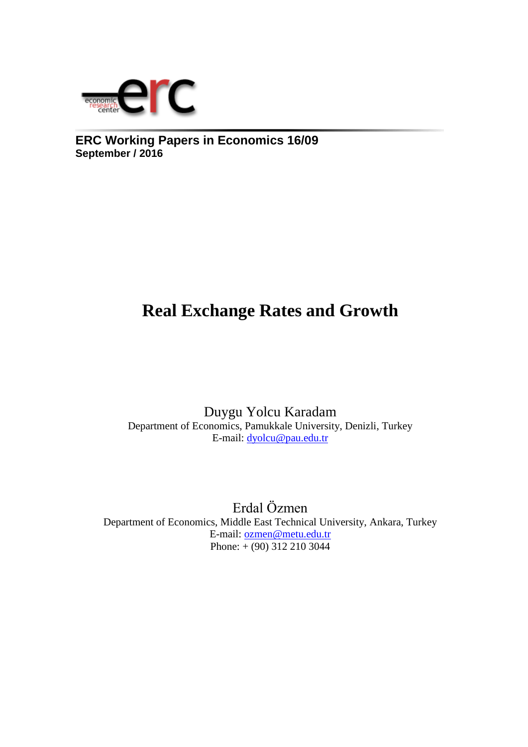

**ERC Working Papers in Economics 16/09 September / 2016**

# **Real Exchange Rates and Growth**

Duygu Yolcu Karadam Department of Economics, Pamukkale University, Denizli, Turkey E-mail: [dyolcu@pau.edu.tr](mailto:dyolcu@pau.edu.tr)

Erdal Özmen Department of Economics, Middle East Technical University, Ankara, Turkey E-mail: [ozmen@metu.edu.tr](mailto:ozmen@metu.edu.tr)  Phone:  $+(90)$  312 210 3044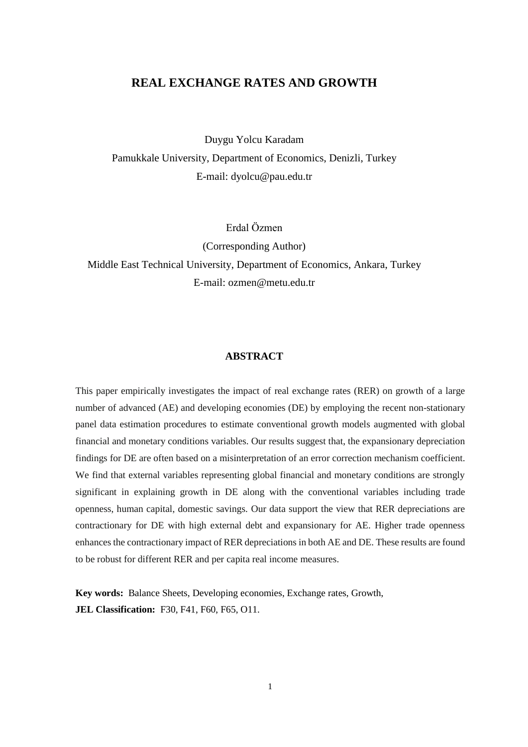### **REAL EXCHANGE RATES AND GROWTH**

Duygu Yolcu Karadam Pamukkale University, Department of Economics, Denizli, Turkey E-mail: dyolcu@pau.edu.tr

Erdal Özmen (Corresponding Author) Middle East Technical University, Department of Economics, Ankara, Turkey E-mail: ozmen@metu.edu.tr

### **ABSTRACT**

This paper empirically investigates the impact of real exchange rates (RER) on growth of a large number of advanced (AE) and developing economies (DE) by employing the recent non-stationary panel data estimation procedures to estimate conventional growth models augmented with global financial and monetary conditions variables. Our results suggest that, the expansionary depreciation findings for DE are often based on a misinterpretation of an error correction mechanism coefficient. We find that external variables representing global financial and monetary conditions are strongly significant in explaining growth in DE along with the conventional variables including trade openness, human capital, domestic savings. Our data support the view that RER depreciations are contractionary for DE with high external debt and expansionary for AE. Higher trade openness enhances the contractionary impact of RER depreciations in both AE and DE. These results are found to be robust for different RER and per capita real income measures.

**Key words:** Balance Sheets, Developing economies, Exchange rates, Growth, **JEL Classification:** F30, F41, F60, F65, O11.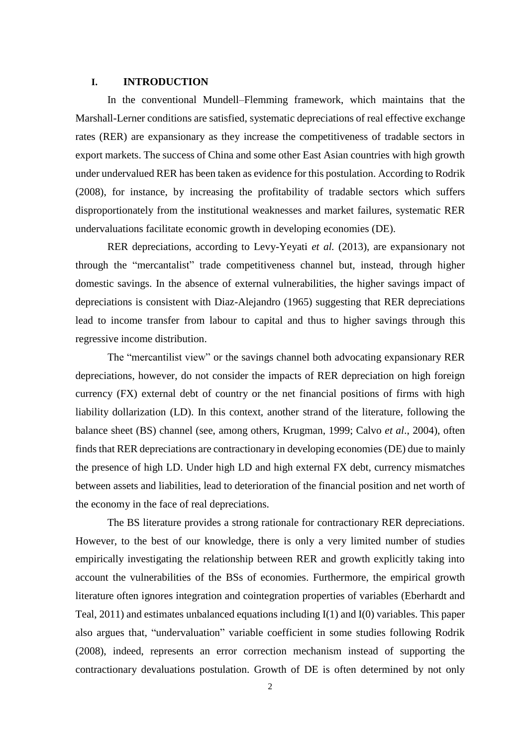### **I. INTRODUCTION**

In the conventional Mundell–Flemming framework, which maintains that the Marshall-Lerner conditions are satisfied, systematic depreciations of real effective exchange rates (RER) are expansionary as they increase the competitiveness of tradable sectors in export markets. The success of China and some other East Asian countries with high growth under undervalued RER has been taken as evidence for this postulation. According to Rodrik (2008), for instance, by increasing the profitability of tradable sectors which suffers disproportionately from the institutional weaknesses and market failures, systematic RER undervaluations facilitate economic growth in developing economies (DE).

RER depreciations, according to Levy-Yeyati *et al.* (2013), are expansionary not through the "mercantalist" trade competitiveness channel but, instead, through higher domestic savings. In the absence of external vulnerabilities, the higher savings impact of depreciations is consistent with Diaz-Alejandro (1965) suggesting that RER depreciations lead to income transfer from labour to capital and thus to higher savings through this regressive income distribution.

The "mercantilist view" or the savings channel both advocating expansionary RER depreciations, however, do not consider the impacts of RER depreciation on high foreign currency (FX) external debt of country or the net financial positions of firms with high liability dollarization (LD). In this context, another strand of the literature, following the balance sheet (BS) channel (see, among others, Krugman, 1999; Calvo *et al*., 2004), often finds that RER depreciations are contractionary in developing economies (DE) due to mainly the presence of high LD. Under high LD and high external FX debt, currency mismatches between assets and liabilities, lead to deterioration of the financial position and net worth of the economy in the face of real depreciations.

The BS literature provides a strong rationale for contractionary RER depreciations. However, to the best of our knowledge, there is only a very limited number of studies empirically investigating the relationship between RER and growth explicitly taking into account the vulnerabilities of the BSs of economies. Furthermore, the empirical growth literature often ignores integration and cointegration properties of variables (Eberhardt and Teal, 2011) and estimates unbalanced equations including I(1) and I(0) variables. This paper also argues that, "undervaluation" variable coefficient in some studies following Rodrik (2008), indeed, represents an error correction mechanism instead of supporting the contractionary devaluations postulation. Growth of DE is often determined by not only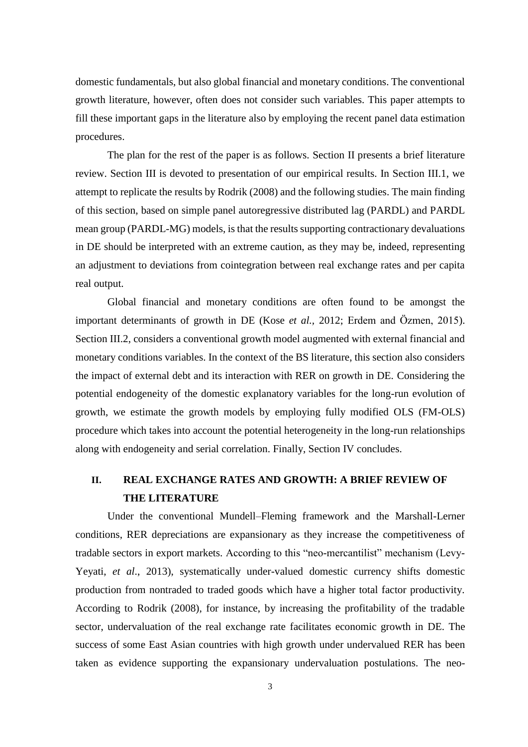domestic fundamentals, but also global financial and monetary conditions. The conventional growth literature, however, often does not consider such variables. This paper attempts to fill these important gaps in the literature also by employing the recent panel data estimation procedures.

The plan for the rest of the paper is as follows. Section II presents a brief literature review. Section III is devoted to presentation of our empirical results. In Section III.1, we attempt to replicate the results by Rodrik (2008) and the following studies. The main finding of this section, based on simple panel autoregressive distributed lag (PARDL) and PARDL mean group (PARDL-MG) models, is that the results supporting contractionary devaluations in DE should be interpreted with an extreme caution, as they may be, indeed, representing an adjustment to deviations from cointegration between real exchange rates and per capita real output.

Global financial and monetary conditions are often found to be amongst the important determinants of growth in DE (Kose *et al.,* 2012; Erdem and Özmen, 2015). Section III.2, considers a conventional growth model augmented with external financial and monetary conditions variables. In the context of the BS literature, this section also considers the impact of external debt and its interaction with RER on growth in DE. Considering the potential endogeneity of the domestic explanatory variables for the long-run evolution of growth, we estimate the growth models by employing fully modified OLS (FM-OLS) procedure which takes into account the potential heterogeneity in the long-run relationships along with endogeneity and serial correlation. Finally, Section IV concludes.

### **II. REAL EXCHANGE RATES AND GROWTH: A BRIEF REVIEW OF THE LITERATURE**

Under the conventional Mundell–Fleming framework and the Marshall-Lerner conditions, RER depreciations are expansionary as they increase the competitiveness of tradable sectors in export markets. According to this "neo-mercantilist" mechanism (Levy-Yeyati, *et al*., 2013), systematically under-valued domestic currency shifts domestic production from nontraded to traded goods which have a higher total factor productivity. According to Rodrik (2008), for instance, by increasing the profitability of the tradable sector, undervaluation of the real exchange rate facilitates economic growth in DE. The success of some East Asian countries with high growth under undervalued RER has been taken as evidence supporting the expansionary undervaluation postulations. The neo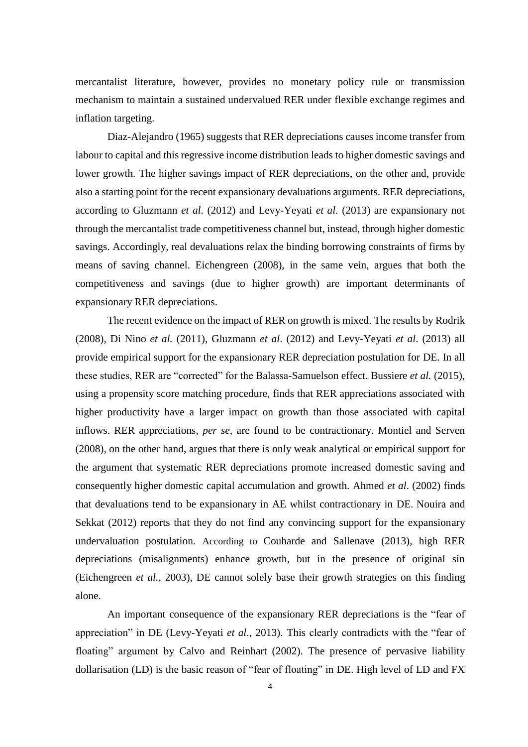mercantalist literature, however, provides no monetary policy rule or transmission mechanism to maintain a sustained undervalued RER under flexible exchange regimes and inflation targeting.

Diaz-Alejandro (1965) suggests that RER depreciations causes income transfer from labour to capital and this regressive income distribution leads to higher domestic savings and lower growth. The higher savings impact of RER depreciations, on the other and, provide also a starting point for the recent expansionary devaluations arguments. RER depreciations, according to Gluzmann *et al*. (2012) and Levy-Yeyati *et al*. (2013) are expansionary not through the mercantalist trade competitiveness channel but, instead, through higher domestic savings. Accordingly, real devaluations relax the binding borrowing constraints of firms by means of saving channel. Eichengreen (2008), in the same vein, argues that both the competitiveness and savings (due to higher growth) are important determinants of expansionary RER depreciations.

The recent evidence on the impact of RER on growth is mixed. The results by Rodrik (2008), Di Nino *et al.* (2011), Gluzmann *et al*. (2012) and Levy-Yeyati *et al*. (2013) all provide empirical support for the expansionary RER depreciation postulation for DE. In all these studies, RER are "corrected" for the Balassa-Samuelson effect. Bussiere *et al.* (2015), using a propensity score matching procedure, finds that RER appreciations associated with higher productivity have a larger impact on growth than those associated with capital inflows. RER appreciations, *per se*, are found to be contractionary. Montiel and Serven (2008), on the other hand, argues that there is only weak analytical or empirical support for the argument that systematic RER depreciations promote increased domestic saving and consequently higher domestic capital accumulation and growth. Ahmed *et al*. (2002) finds that devaluations tend to be expansionary in AE whilst contractionary in DE. Nouira and Sekkat (2012) reports that they do not find any convincing support for the expansionary undervaluation postulation. According to Couharde and Sallenave (2013), high RER depreciations (misalignments) enhance growth, but in the presence of original sin (Eichengreen *et al.*, 2003), DE cannot solely base their growth strategies on this finding alone.

An important consequence of the expansionary RER depreciations is the "fear of appreciation" in DE (Levy-Yeyati *et al*., 2013). This clearly contradicts with the "fear of floating" argument by Calvo and Reinhart (2002). The presence of pervasive liability dollarisation (LD) is the basic reason of "fear of floating" in DE. High level of LD and FX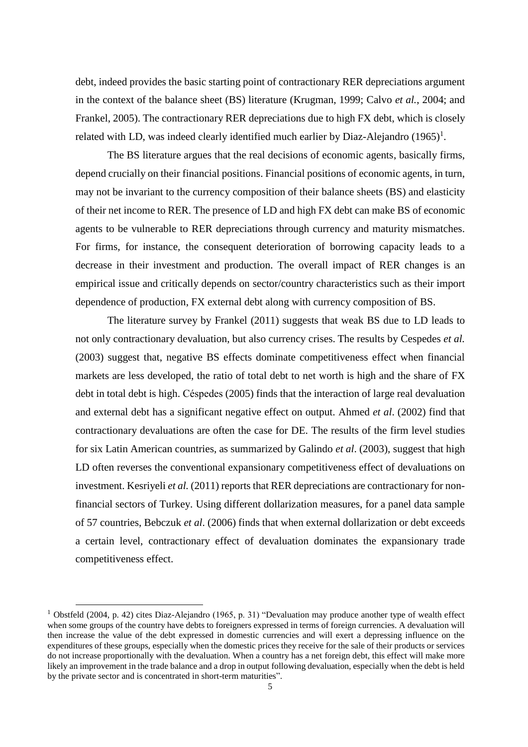debt, indeed provides the basic starting point of contractionary RER depreciations argument in the context of the balance sheet (BS) literature (Krugman, 1999; Calvo *et al.*, 2004; and Frankel, 2005). The contractionary RER depreciations due to high FX debt, which is closely related with LD, was indeed clearly identified much earlier by Diaz-Alejandro  $(1965)^{1}$ .

The BS literature argues that the real decisions of economic agents, basically firms, depend crucially on their financial positions. Financial positions of economic agents, in turn, may not be invariant to the currency composition of their balance sheets (BS) and elasticity of their net income to RER. The presence of LD and high FX debt can make BS of economic agents to be vulnerable to RER depreciations through currency and maturity mismatches. For firms, for instance, the consequent deterioration of borrowing capacity leads to a decrease in their investment and production. The overall impact of RER changes is an empirical issue and critically depends on sector/country characteristics such as their import dependence of production, FX external debt along with currency composition of BS.

The literature survey by Frankel (2011) suggests that weak BS due to LD leads to not only contractionary devaluation, but also currency crises. The results by Cespedes *et al.* (2003) suggest that, negative BS effects dominate competitiveness effect when financial markets are less developed, the ratio of total debt to net worth is high and the share of FX debt in total debt is high. Céspedes (2005) finds that the interaction of large real devaluation and external debt has a significant negative effect on output. Ahmed *et al*. (2002) find that contractionary devaluations are often the case for DE. The results of the firm level studies for six Latin American countries, as summarized by Galindo *et al*. (2003), suggest that high LD often reverses the conventional expansionary competitiveness effect of devaluations on investment. Kesriyeli *et al.* (2011) reports that RER depreciations are contractionary for nonfinancial sectors of Turkey. Using different dollarization measures, for a panel data sample of 57 countries, Bebczuk *et al*. (2006) finds that when external dollarization or debt exceeds a certain level, contractionary effect of devaluation dominates the expansionary trade competitiveness effect.

<sup>&</sup>lt;sup>1</sup> Obstfeld (2004, p. 42) cites Diaz-Alejandro (1965, p. 31) "Devaluation may produce another type of wealth effect when some groups of the country have debts to foreigners expressed in terms of foreign currencies. A devaluation will then increase the value of the debt expressed in domestic currencies and will exert a depressing influence on the expenditures of these groups, especially when the domestic prices they receive for the sale of their products or services do not increase proportionally with the devaluation. When a country has a net foreign debt, this effect will make more likely an improvement in the trade balance and a drop in output following devaluation, especially when the debt is held by the private sector and is concentrated in short-term maturities".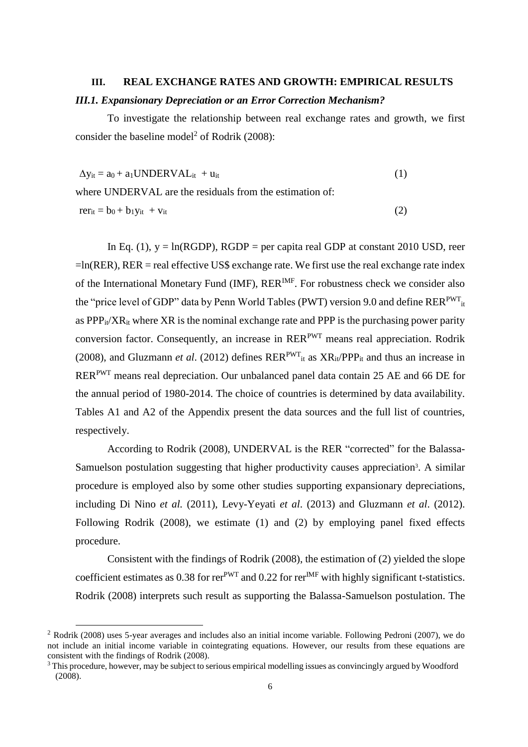## **III. REAL EXCHANGE RATES AND GROWTH: EMPIRICAL RESULTS**  *III.1. Expansionary Depreciation or an Error Correction Mechanism?*

To investigate the relationship between real exchange rates and growth, we first consider the baseline model<sup>2</sup> of Rodrik (2008):

 $\Delta y_{it} = a_0 + a_1 UNDERVAL_{it} + u_{it}$  (1)

where UNDERVAL are the residuals from the estimation of:  $r = b_0 + b_1 v_{it} + v_{it}$  (2)

In Eq. (1),  $y = ln(RGDP)$ ,  $RGDP = per$  capita real GDP at constant 2010 USD, reer  $=$ ln(RER), RER = real effective US\$ exchange rate. We first use the real exchange rate index of the International Monetary Fund (IMF),  $RER^{IMF}$ . For robustness check we consider also the "price level of GDP" data by Penn World Tables (PWT) version 9.0 and define RER<sup>PWT</sup><sub>it</sub> as  $PPP_{it}/XR_{it}$  where  $XR$  is the nominal exchange rate and PPP is the purchasing power parity conversion factor. Consequently, an increase in RERPWT means real appreciation. Rodrik (2008), and Gluzmann *et al.* (2012) defines  $RER^{PWT}$ <sub>it</sub> as  $XR_{it}/PPP_{it}$  and thus an increase in RERPWT means real depreciation. Our unbalanced panel data contain 25 AE and 66 DE for the annual period of 1980-2014. The choice of countries is determined by data availability. Tables A1 and A2 of the Appendix present the data sources and the full list of countries, respectively.

According to Rodrik (2008), UNDERVAL is the RER "corrected" for the Balassa-Samuelson postulation suggesting that higher productivity causes appreciation<sup>3</sup>. A similar procedure is employed also by some other studies supporting expansionary depreciations, including Di Nino *et al.* (2011), Levy-Yeyati *et al*. (2013) and Gluzmann *et al*. (2012). Following Rodrik (2008), we estimate (1) and (2) by employing panel fixed effects procedure.

Consistent with the findings of Rodrik (2008), the estimation of (2) yielded the slope coefficient estimates as 0.38 for rer<sup>PWT</sup> and 0.22 for rer<sup>IMF</sup> with highly significant t-statistics. Rodrik (2008) interprets such result as supporting the Balassa-Samuelson postulation. The

<sup>&</sup>lt;sup>2</sup> Rodrik (2008) uses 5-year averages and includes also an initial income variable. Following Pedroni (2007), we do not include an initial income variable in cointegrating equations. However, our results from these equations are consistent with the findings of Rodrik (2008).

<sup>&</sup>lt;sup>3</sup> This procedure, however, may be subject to serious empirical modelling issues as convincingly argued by Woodford (2008).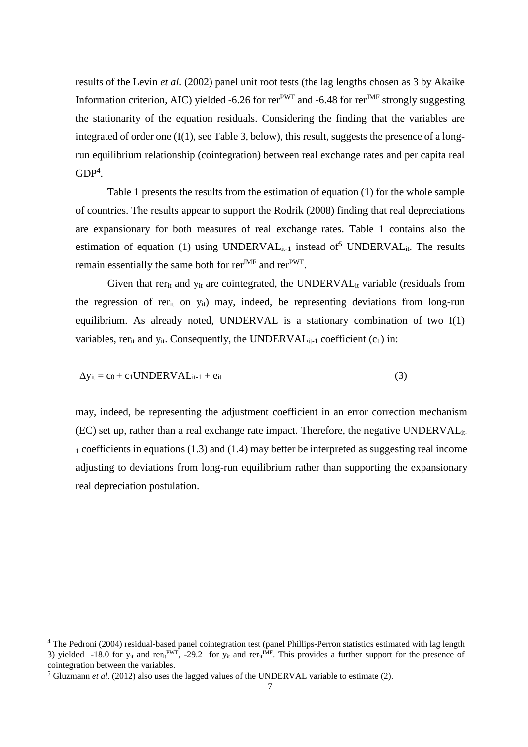results of the Levin *et al.* (2002) panel unit root tests (the lag lengths chosen as 3 by Akaike Information criterion, AIC) yielded -6.26 for rer<sup>PWT</sup> and -6.48 for rer<sup>IMF</sup> strongly suggesting the stationarity of the equation residuals. Considering the finding that the variables are integrated of order one (I(1), see Table 3, below), this result, suggests the presence of a longrun equilibrium relationship (cointegration) between real exchange rates and per capita real  $GDP<sup>4</sup>$ .

Table 1 presents the results from the estimation of equation (1) for the whole sample of countries. The results appear to support the Rodrik (2008) finding that real depreciations are expansionary for both measures of real exchange rates. Table 1 contains also the estimation of equation (1) using UNDERVAL $_{it-1}$  instead of<sup>5</sup> UNDERVAL $_{it}$ . The results remain essentially the same both for  $\text{rer}^{\text{IMF}}$  and  $\text{rer}^{\text{PWT}}$ .

Given that rer<sub>it</sub> and  $y_{it}$  are cointegrated, the UNDERVAL<sub>it</sub> variable (residuals from the regression of rerit on yit) may, indeed, be representing deviations from long-run equilibrium. As already noted, UNDERVAL is a stationary combination of two I(1) variables, rer<sub>it</sub> and  $y_{it}$ . Consequently, the UNDERVAL<sub>it-1</sub> coefficient  $(c_1)$  in:

$$
\Delta y_{it} = c_0 + c_1 UNDERVAL_{it-1} + e_{it}
$$
\n(3)

may, indeed, be representing the adjustment coefficient in an error correction mechanism (EC) set up, rather than a real exchange rate impact. Therefore, the negative UNDERVALit-<sup>1</sup> coefficients in equations (1.3) and (1.4) may better be interpreted as suggesting real income adjusting to deviations from long-run equilibrium rather than supporting the expansionary real depreciation postulation.

<sup>&</sup>lt;sup>4</sup> The Pedroni (2004) residual-based panel cointegration test (panel Phillips-Perron statistics estimated with lag length 3) yielded -18.0 for  $y_{it}$  and rer<sub>it</sub><sup>PWT</sup>, -29.2 for  $y_{it}$  and rer<sub>it</sub><sup>MF</sup>. This provides a further support for the presence of cointegration between the variables.

<sup>5</sup> Gluzmann *et al*. (2012) also uses the lagged values of the UNDERVAL variable to estimate (2).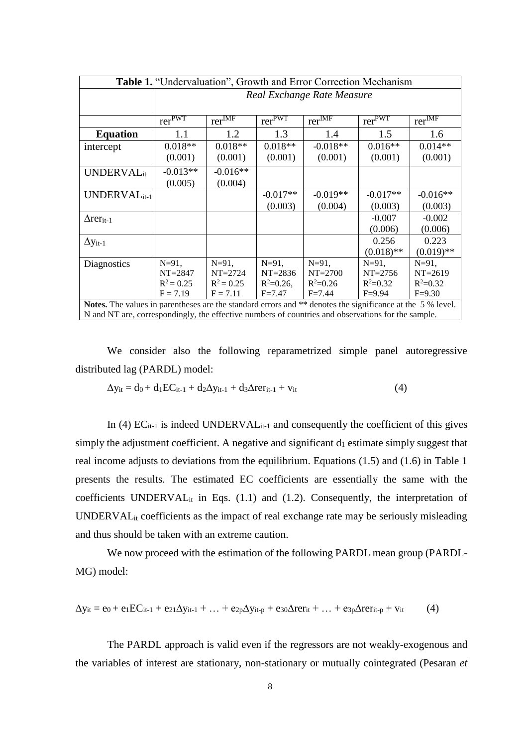| Table 1. "Undervaluation", Growth and Error Correction Mechanism                                          |                                                 |                                          |                                      |                                          |                                          |                                          |
|-----------------------------------------------------------------------------------------------------------|-------------------------------------------------|------------------------------------------|--------------------------------------|------------------------------------------|------------------------------------------|------------------------------------------|
|                                                                                                           | Real Exchange Rate Measure                      |                                          |                                      |                                          |                                          |                                          |
|                                                                                                           |                                                 |                                          |                                      |                                          |                                          |                                          |
|                                                                                                           | $\overline{\text{rer}}^{\overline{\text{PWT}}}$ | $\mathrm{rer}^{\overline{\mathrm{IMF}}}$ | $\overline{\text{rer}^{\text{PWT}}}$ | $\mathrm{rer}^{\overline{\mathrm{IMF}}}$ | $\mathrm{rer}^{\overline{\mathrm{PWT}}}$ | $\mathrm{rer}^{\overline{\mathrm{IMF}}}$ |
| <b>Equation</b>                                                                                           | 1.1                                             | 1.2                                      | 1.3                                  | 1.4                                      | 1.5                                      | 1.6                                      |
| intercept                                                                                                 | $0.018**$                                       | $0.018**$                                | $0.018**$                            | $-0.018**$                               | $0.016**$                                | $0.014**$                                |
|                                                                                                           | (0.001)                                         | (0.001)                                  | (0.001)                              | (0.001)                                  | (0.001)                                  | (0.001)                                  |
| <b>UNDERVAL</b> it                                                                                        | $-0.013**$                                      | $-0.016**$                               |                                      |                                          |                                          |                                          |
|                                                                                                           | (0.005)                                         | (0.004)                                  |                                      |                                          |                                          |                                          |
| UNDERVAL $_{it-1}$                                                                                        |                                                 |                                          | $-0.017**$                           | $-0.019**$                               | $-0.017**$                               | $-0.016**$                               |
|                                                                                                           |                                                 |                                          | (0.003)                              | (0.004)                                  | (0.003)                                  | (0.003)                                  |
| $\Delta \text{rer}_{it-1}$                                                                                |                                                 |                                          |                                      |                                          | $-0.007$                                 | $-0.002$                                 |
|                                                                                                           |                                                 |                                          |                                      |                                          | (0.006)                                  | (0.006)                                  |
| $\Delta$ <i>y</i> <sub>it-1</sub>                                                                         |                                                 |                                          |                                      |                                          | 0.256                                    | 0.223                                    |
|                                                                                                           |                                                 |                                          |                                      |                                          | $(0.018)$ **                             | $(0.019)$ **                             |
| <b>Diagnostics</b>                                                                                        | $N=91$ ,                                        | $N=91$ ,                                 | $N = 91$ ,                           | $N=91$ ,                                 | $N=91$ ,                                 | $N = 91$ ,                               |
|                                                                                                           | $NT = 2847$                                     | $NT = 2724$                              | $NT = 2836$                          | $NT = 2700$                              | $NT = 2756$                              | $NT = 2619$                              |
|                                                                                                           | $R^2 = 0.25$                                    | $R^2 = 0.25$                             | $R^2 = 0.26$ ,                       | $R^2 = 0.26$                             | $R^2 = 0.32$                             | $R^2 = 0.32$                             |
|                                                                                                           | $F = 7.19$                                      | $F = 7.11$                               | $F = 7.47$                           | $F = 7.44$                               | $F = 9.94$                               | $F = 9.30$                               |
| Notes. The values in parentheses are the standard errors and ** denotes the significance at the 5 % level |                                                 |                                          |                                      |                                          |                                          |                                          |

**Solution** in parentheses are the standard errors and \*\* denotes the significance at the 5 % level. N and NT are, correspondingly, the effective numbers of countries and observations for the sample.

We consider also the following reparametrized simple panel autoregressive distributed lag (PARDL) model:

$$
\Delta y_{it} = d_0 + d_1 EC_{it-1} + d_2 \Delta y_{it-1} + d_3 \Delta r er_{it-1} + v_{it}
$$
\n(4)

In (4)  $EC_{it-1}$  is indeed UNDERVAL<sub>it-1</sub> and consequently the coefficient of this gives simply the adjustment coefficient. A negative and significant  $d_1$  estimate simply suggest that real income adjusts to deviations from the equilibrium. Equations (1.5) and (1.6) in Table 1 presents the results. The estimated EC coefficients are essentially the same with the coefficients UNDERVAL<sub>it</sub> in Eqs.  $(1.1)$  and  $(1.2)$ . Consequently, the interpretation of UNDERVALit coefficients as the impact of real exchange rate may be seriously misleading and thus should be taken with an extreme caution.

We now proceed with the estimation of the following PARDL mean group (PARDL-MG) model:

$$
\Delta y_{it} = e_0 + e_1 EC_{it-1} + e_{21}\Delta y_{it-1} + ... + e_{2p}\Delta y_{it-p} + e_{30}\Delta r er_{it} + ... + e_{3p}\Delta r er_{it-p} + v_{it}
$$
(4)

The PARDL approach is valid even if the regressors are not weakly-exogenous and the variables of interest are stationary, non-stationary or mutually cointegrated (Pesaran *et*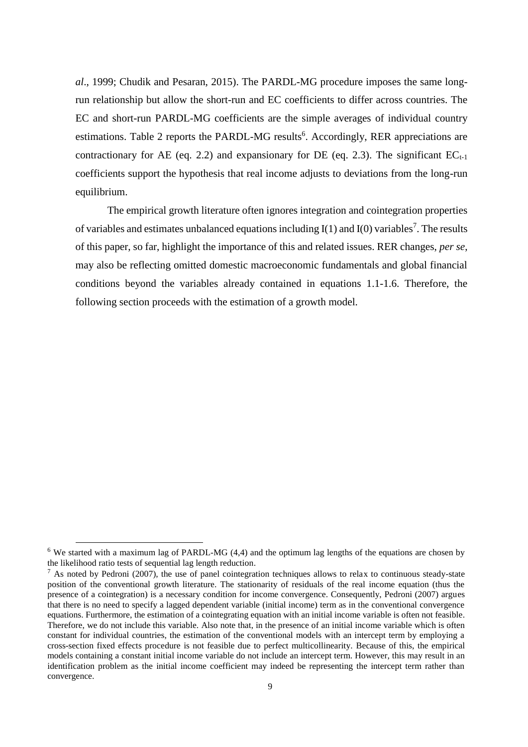*al*., 1999; Chudik and Pesaran, 2015). The PARDL-MG procedure imposes the same longrun relationship but allow the short-run and EC coefficients to differ across countries. The EC and short-run PARDL-MG coefficients are the simple averages of individual country estimations. Table 2 reports the PARDL-MG results<sup>6</sup>. Accordingly, RER appreciations are contractionary for AE (eq. 2.2) and expansionary for DE (eq. 2.3). The significant  $EC_{t-1}$ coefficients support the hypothesis that real income adjusts to deviations from the long-run equilibrium.

The empirical growth literature often ignores integration and cointegration properties of variables and estimates unbalanced equations including  $I(1)$  and  $I(0)$  variables<sup>7</sup>. The results of this paper, so far, highlight the importance of this and related issues. RER changes, *per se*, may also be reflecting omitted domestic macroeconomic fundamentals and global financial conditions beyond the variables already contained in equations 1.1-1.6. Therefore, the following section proceeds with the estimation of a growth model.

 $\overline{a}$ 

<sup>&</sup>lt;sup>6</sup> We started with a maximum lag of PARDL-MG (4,4) and the optimum lag lengths of the equations are chosen by the likelihood ratio tests of sequential lag length reduction.

 $^7$  As noted by Pedroni (2007), the use of panel cointegration techniques allows to relax to continuous steady-state position of the conventional growth literature. The stationarity of residuals of the real income equation (thus the presence of a cointegration) is a necessary condition for income convergence. Consequently, Pedroni (2007) argues that there is no need to specify a lagged dependent variable (initial income) term as in the conventional convergence equations. Furthermore, the estimation of a cointegrating equation with an initial income variable is often not feasible. Therefore, we do not include this variable. Also note that, in the presence of an initial income variable which is often constant for individual countries, the estimation of the conventional models with an intercept term by employing a cross-section fixed effects procedure is not feasible due to perfect multicollinearity. Because of this, the empirical models containing a constant initial income variable do not include an intercept term. However, this may result in an identification problem as the initial income coefficient may indeed be representing the intercept term rather than convergence.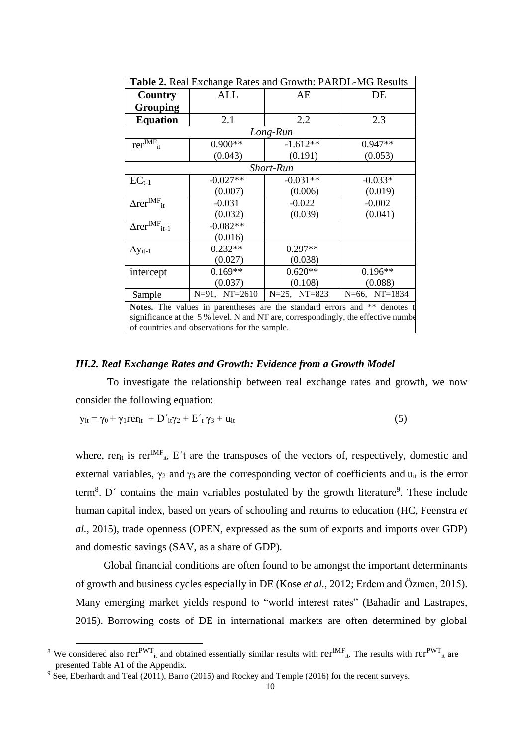| Table 2. Real Exchange Rates and Growth: PARDL-MG Results                          |                    |                   |                    |  |  |  |
|------------------------------------------------------------------------------------|--------------------|-------------------|--------------------|--|--|--|
| Country                                                                            | ALL                | AE                | DE                 |  |  |  |
| <b>Grouping</b>                                                                    |                    |                   |                    |  |  |  |
| <b>Equation</b>                                                                    | 2.1                | 2.2               | 2.3                |  |  |  |
| Long-Run                                                                           |                    |                   |                    |  |  |  |
| $\overline{\text{rer}^{\text{IMF}}_{it}}$                                          | $0.900**$          | $-1.612**$        | $0.947**$          |  |  |  |
|                                                                                    | (0.043)            | (0.191)           | (0.053)            |  |  |  |
| <b>Short-Run</b>                                                                   |                    |                   |                    |  |  |  |
| $EC_{t-1}$                                                                         | $-0.027**$         | $-0.031**$        | $-0.033*$          |  |  |  |
|                                                                                    | (0.007)            | (0.006)           | (0.019)            |  |  |  |
| $\Delta \text{rer}^{\text{IMF}}_{\text{it}}$                                       | $-0.031$           | $-0.022$          | $-0.002$           |  |  |  |
|                                                                                    | (0.032)            | (0.039)           | (0.041)            |  |  |  |
| $\overline{\text{A} \text{rer}^{\text{IMF}}_{it-1}}$                               | $-0.082**$         |                   |                    |  |  |  |
|                                                                                    | (0.016)            |                   |                    |  |  |  |
| $\Delta$ <i>y</i> <sub>it-1</sub>                                                  | $0.232**$          | $0.297**$         |                    |  |  |  |
|                                                                                    | (0.027)            | (0.038)           |                    |  |  |  |
| intercept                                                                          | $0.169**$          | $0.620**$         | $0.196**$          |  |  |  |
|                                                                                    | (0.037)            | (0.108)           | (0.088)            |  |  |  |
| Sample                                                                             | $N=91$ , $NT=2610$ | $N=25$ , $NT=823$ | $N=66$ , $NT=1834$ |  |  |  |
| Notes. The values in parentheses are the standard errors and ** denotes t          |                    |                   |                    |  |  |  |
| significance at the 5 % level. N and NT are, correspondingly, the effective number |                    |                   |                    |  |  |  |
| of countries and observations for the sample.                                      |                    |                   |                    |  |  |  |

### *III.2. Real Exchange Rates and Growth: Evidence from a Growth Model*

To investigate the relationship between real exchange rates and growth, we now consider the following equation:

$$
y_{it} = \gamma_0 + \gamma_1 \text{rer}_{it} + D'_{it} \gamma_2 + E'_{t} \gamma_3 + u_{it}
$$
\n
$$
\tag{5}
$$

where, rer<sub>it</sub> is rer<sup>IMF</sup><sub>it</sub>, E't are the transposes of the vectors of, respectively, domestic and external variables,  $\gamma_2$  and  $\gamma_3$  are the corresponding vector of coefficients and  $u_{it}$  is the error term<sup>8</sup>. D' contains the main variables postulated by the growth literature<sup>9</sup>. These include human capital index, based on years of schooling and returns to education (HC, Feenstra *et al.,* 2015), trade openness (OPEN, expressed as the sum of exports and imports over GDP) and domestic savings (SAV, as a share of GDP).

Global financial conditions are often found to be amongst the important determinants of growth and business cycles especially in DE (Kose *et al.,* 2012; Erdem and Özmen, 2015). Many emerging market yields respond to "world interest rates" (Bahadir and Lastrapes, 2015). Borrowing costs of DE in international markets are often determined by global

1

<sup>&</sup>lt;sup>8</sup> We considered also  $\text{rer}^{\text{PWT}}$ <sub>it</sub> and obtained essentially similar results with  $\text{rer}^{\text{IMF}}$ <sub>it</sub>. The results with  $\text{rer}^{\text{PWT}}$ <sub>it</sub> are presented Table A1 of the Appendix.

<sup>9</sup> See, Eberhardt and Teal (2011), Barro (2015) and Rockey and Temple (2016) for the recent surveys.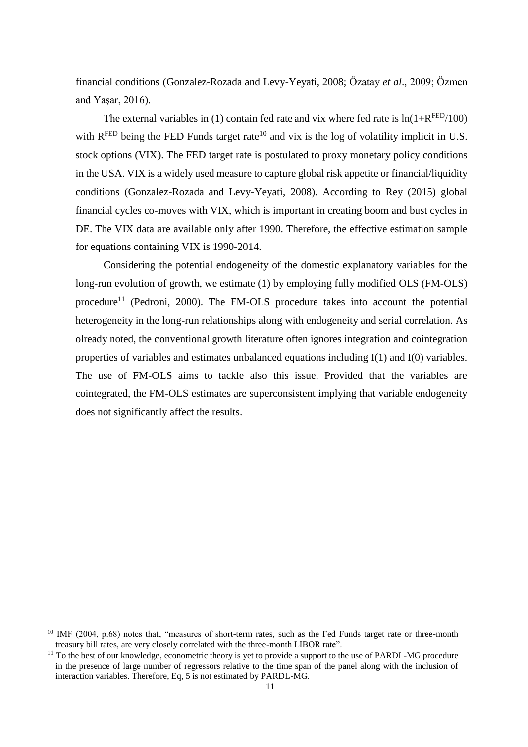financial conditions (Gonzalez-Rozada and Levy-Yeyati, 2008; Özatay *et al*., 2009; Özmen and Yaşar, 2016).

The external variables in (1) contain fed rate and vix where fed rate is  $ln(1+R^{FED}/100)$ with  $R^{FED}$  being the FED Funds target rate<sup>10</sup> and vix is the log of volatility implicit in U.S. stock options (VIX). The FED target rate is postulated to proxy monetary policy conditions in the USA. VIX is a widely used measure to capture global risk appetite or financial/liquidity conditions (Gonzalez-Rozada and Levy-Yeyati, 2008). According to Rey (2015) global financial cycles co-moves with VIX, which is important in creating boom and bust cycles in DE. The VIX data are available only after 1990. Therefore, the effective estimation sample for equations containing VIX is 1990-2014.

Considering the potential endogeneity of the domestic explanatory variables for the long-run evolution of growth, we estimate (1) by employing fully modified OLS (FM-OLS) procedure<sup>11</sup> (Pedroni, 2000). The FM-OLS procedure takes into account the potential heterogeneity in the long-run relationships along with endogeneity and serial correlation. As olready noted, the conventional growth literature often ignores integration and cointegration properties of variables and estimates unbalanced equations including I(1) and I(0) variables. The use of FM-OLS aims to tackle also this issue. Provided that the variables are cointegrated, the FM-OLS estimates are superconsistent implying that variable endogeneity does not significantly affect the results.

<sup>&</sup>lt;sup>10</sup> IMF (2004, p.68) notes that, "measures of short-term rates, such as the Fed Funds target rate or three-month treasury bill rates, are very closely correlated with the three-month LIBOR rate".

 $11$  To the best of our knowledge, econometric theory is yet to provide a support to the use of PARDL-MG procedure in the presence of large number of regressors relative to the time span of the panel along with the inclusion of interaction variables. Therefore, Eq, 5 is not estimated by PARDL-MG.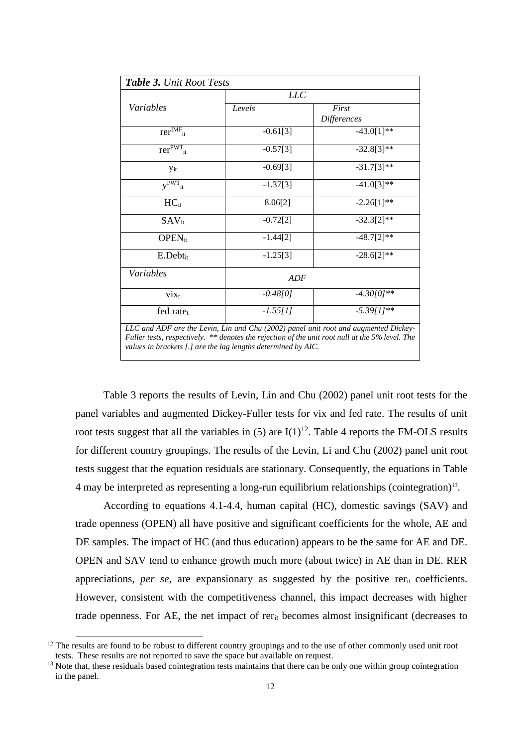|                                           | LLC        |                      |
|-------------------------------------------|------------|----------------------|
| Variables                                 | Levels     | First<br>Differences |
| $\overline{\text{rer}}^{\text{IMF}}_{it}$ | $-0.61[3]$ | $-43.0[1]**$         |
| $\text{rer}^{\text{PWT}}$ <sub>it</sub>   | $-0.57[3]$ | $-32.8[3]**$         |
| <b>Y</b> <sub>it</sub>                    | $-0.69[3]$ | $-31.7[3]**$         |
| $y^{PWT}$ <sub>it</sub>                   | $-1.37[3]$ | $-41.0[3]**$         |
| $HC_{it}$                                 | 8.06[2]    | $-2.26[1]**$         |
| $SAV_{it}$                                | $-0.72[2]$ | $-32.3[2]**$         |
| $OPEN_{it}$                               | $-1.44[2]$ | $-48.7[2]**$         |
| $E.Debt_{it}$                             | $-1.25[3]$ | $-28.6[2]*$          |
| Variables                                 | ADF        |                      |
| $\dot{V}$                                 | $-0.48[0]$ | $-4.30[0]**$         |
| fed rate $t$                              | $-1.55[1]$ | $-5.39[1]**$         |

*Fuller tests, respectively. \*\* denotes the rejection of the unit root null at the 5% level. The values in brackets [.] are the lag lengths determined by AIC.*

Table 3 reports the results of Levin, Lin and Chu (2002) panel unit root tests for the panel variables and augmented Dickey-Fuller tests for vix and fed rate. The results of unit root tests suggest that all the variables in  $(5)$  are  $I(1)^{12}$ . Table 4 reports the FM-OLS results for different country groupings. The results of the Levin, Li and Chu (2002) panel unit root tests suggest that the equation residuals are stationary. Consequently, the equations in Table 4 may be interpreted as representing a long-run equilibrium relationships (cointegration)<sup>13</sup> .

According to equations 4.1-4.4, human capital (HC), domestic savings (SAV) and trade openness (OPEN) all have positive and significant coefficients for the whole, AE and DE samples. The impact of HC (and thus education) appears to be the same for AE and DE. OPEN and SAV tend to enhance growth much more (about twice) in AE than in DE. RER appreciations, *per se*, are expansionary as suggested by the positive rer<sub>it</sub> coefficients. However, consistent with the competitiveness channel, this impact decreases with higher trade openness. For AE, the net impact of rerit becomes almost insignificant (decreases to

<sup>&</sup>lt;sup>12</sup> The results are found to be robust to different country groupings and to the use of other commonly used unit root tests. These results are not reported to save the space but available on request.

 $<sup>13</sup>$  Note that, these residuals based cointegration tests maintains that there can be only one within group cointegration</sup> in the panel.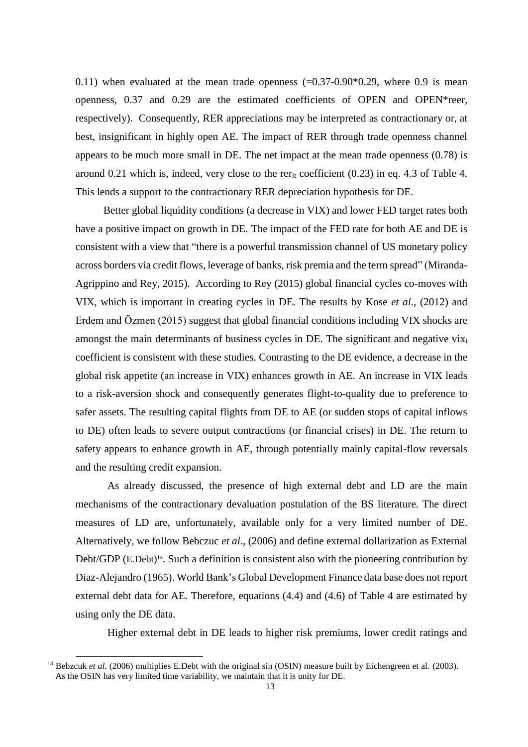0.11) when evaluated at the mean trade openness  $(-0.37-0.90*0.29$ , where 0.9 is mean openness, 0.37 and 0.29 are the estimated coefficients of OPEN and OPEN\*reer, respectively). Consequently, RER appreciations may be interpreted as contractionary or, at best, insignificant in highly open AE. The impact of RER through trade openness channel appears to be much more small in DE. The net impact at the mean trade openness (0.78) is around 0.21 which is, indeed, very close to the rer<sub>it</sub> coefficient  $(0.23)$  in eq. 4.3 of Table 4. This lends a support to the contractionary RER depreciation hypothesis for DE.

Better global liquidity conditions (a decrease in VIX) and lower FED target rates both have a positive impact on growth in DE. The impact of the FED rate for both AE and DE is consistent with a view that "there is a powerful transmission channel of US monetary policy across borders via credit flows, leverage of banks, risk premia and the term spread" (Miranda-Agrippino and Rey, 2015). According to Rey (2015) global financial cycles co-moves with VIX, which is important in creating cycles in DE. The results by Kose *et al*., (2012) and Erdem and Özmen (2015) suggest that global financial conditions including VIX shocks are amongst the main determinants of business cycles in DE. The significant and negative  $v_{i}x_t$ coefficient is consistent with these studies. Contrasting to the DE evidence, a decrease in the global risk appetite (an increase in VIX) enhances growth in AE. An increase in VIX leads to a risk-aversion shock and consequently generates flight-to-quality due to preference to safer assets. The resulting capital flights from DE to AE (or sudden stops of capital inflows to DE) often leads to severe output contractions (or financial crises) in DE. The return to safety appears to enhance growth in AE, through potentially mainly capital-flow reversals and the resulting credit expansion.

As already discussed, the presence of high external debt and LD are the main mechanisms of the contractionary devaluation postulation of the BS literature. The direct measures of LD are, unfortunately, available only for a very limited number of DE. Alternatively, we follow Bebczuc *et al*., (2006) and define external dollarization as External Debt/GDP (E.Debt)<sup>14</sup>. Such a definition is consistent also with the pioneering contribution by Diaz-Alejandro (1965). World Bank's Global Development Finance data base does not report external debt data for AE. Therefore, equations (4.4) and (4.6) of Table 4 are estimated by using only the DE data.

Higher external debt in DE leads to higher risk premiums, lower credit ratings and

<sup>&</sup>lt;sup>14</sup> Bebzcuk *et al.* (2006) multiplies E.Debt with the original sin (OSIN) measure built by Eichengreen et al. (2003). As the OSIN has very limited time variability, we maintain that it is unity for DE.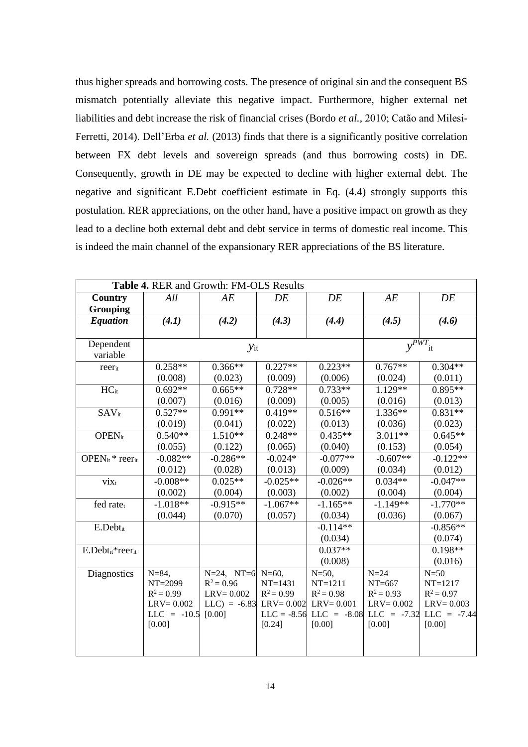thus higher spreads and borrowing costs. The presence of original sin and the consequent BS mismatch potentially alleviate this negative impact. Furthermore, higher external net liabilities and debt increase the risk of financial crises (Bordo *et al.*, 2010; Catão and Milesi-Ferretti, 2014). Dell'Erba *et al.* (2013) finds that there is a significantly positive correlation between FX debt levels and sovereign spreads (and thus borrowing costs) in DE. Consequently, growth in DE may be expected to decline with higher external debt. The negative and significant E.Debt coefficient estimate in Eq. (4.4) strongly supports this postulation. RER appreciations, on the other hand, have a positive impact on growth as they lead to a decline both external debt and debt service in terms of domestic real income. This is indeed the main channel of the expansionary RER appreciations of the BS literature.

| Table 4. RER and Growth: FM-OLS Results       |                                       |                               |              |                                                                          |                         |               |
|-----------------------------------------------|---------------------------------------|-------------------------------|--------------|--------------------------------------------------------------------------|-------------------------|---------------|
| Country                                       | All                                   | AE                            | DE           | DE                                                                       | AE                      | DE            |
| Grouping                                      |                                       |                               |              |                                                                          |                         |               |
| <b>Equation</b>                               | (4.1)                                 | (4.2)                         | (4.3)        | (4.4)                                                                    | (4.5)                   | (4.6)         |
|                                               |                                       |                               |              |                                                                          |                         |               |
| Dependent                                     |                                       | $y_{it}$                      |              |                                                                          | $\overline{y}^{PWT}$ it |               |
| variable                                      |                                       |                               |              |                                                                          |                         |               |
| reerit                                        | $0.258**$                             | $0.366**$                     | $0.227**$    | $0.223**$                                                                | $0.767**$               | $0.304**$     |
|                                               | (0.008)                               | (0.023)                       | (0.009)      | (0.006)                                                                  | (0.024)                 | (0.011)       |
| $HC_{it}$                                     | $0.692**$                             | $0.665**$                     | $0.728**$    | $0.733**$                                                                | $1.129**$               | $0.895**$     |
|                                               | (0.007)                               | (0.016)                       | (0.009)      | (0.005)                                                                  | (0.016)                 | (0.013)       |
| $SAV_{it}$                                    | $0.527**$                             | $0.991**$                     | $0.419**$    | $0.516**$                                                                | $1.336**$               | $0.831**$     |
|                                               | (0.019)                               | (0.041)                       | (0.022)      | (0.013)                                                                  | (0.036)                 | (0.023)       |
| $OPEN_{it}$                                   | $0.540**$                             | $1.510**$                     | $0.248**$    | $0.435**$                                                                | $3.011**$               | $0.645**$     |
|                                               | (0.055)                               | (0.122)                       | (0.065)      | (0.040)                                                                  | (0.153)                 | (0.054)       |
| OPEN <sub>it</sub> * reer <sub>it</sub>       | $-0.082**$                            | $-0.286**$                    | $-0.024*$    | $-0.077**$                                                               | $-0.607**$              | $-0.122**$    |
|                                               | (0.012)                               | (0.028)                       | (0.013)      | (0.009)                                                                  | (0.034)                 | (0.012)       |
| $\dot{v}$ ix <sub>t</sub>                     | $-0.008**$                            | $0.025**$                     | $-0.025**$   | $-0.026**$                                                               | $0.034**$               | $-0.047**$    |
|                                               | (0.002)                               | (0.004)                       | (0.003)      | (0.002)                                                                  | (0.004)                 | (0.004)       |
| fed rate <sub>t</sub>                         | $-1.018**$                            | $-0.915**$                    | $-1.067**$   | $-1.165**$                                                               | $-1.149**$              | $-1.770**$    |
|                                               | (0.044)                               | (0.070)                       | (0.057)      | (0.034)                                                                  | (0.036)                 | (0.067)       |
| E.Debtit                                      |                                       |                               |              | $-0.114**$                                                               |                         | $-0.856**$    |
|                                               |                                       |                               |              | (0.034)                                                                  |                         | (0.074)       |
| $E.Debt_{it}$ <sup>*</sup> reer <sub>it</sub> |                                       |                               |              | $0.037**$                                                                |                         | $0.198**$     |
|                                               |                                       |                               |              | (0.008)                                                                  |                         | (0.016)       |
| <b>Diagnostics</b>                            | $N = 84$ ,                            | $N=24$ , $NT=6$               | $N=60$ ,     | $N = 50$ ,                                                               | $N=24$                  | $N=50$        |
|                                               | NT=2099                               | $R^2 = 0.96$                  | $NT = 1431$  | $NT = 1211$                                                              | $NT=667$                | $NT = 1217$   |
|                                               | $R^2 = 0.99$                          | $LRV = 0.002$                 | $R^2 = 0.99$ | $R^2 = 0.98$                                                             | $R^2 = 0.93$            | $R^2 = 0.97$  |
|                                               | $LRV = 0.002$<br>$LLC = -10.5$ [0.00] | $LLC$ ) = -6.83 $LRV = 0.002$ |              | $LRV = 0.001$<br>$LLC = -8.56$ $LLC = -8.08$ $LLC = -7.32$ $LLC = -7.44$ | $LRV = 0.002$           | $LRV = 0.003$ |
|                                               | [0.00]                                |                               | [0.24]       | [0.00]                                                                   | [0.00]                  | [0.00]        |
|                                               |                                       |                               |              |                                                                          |                         |               |
|                                               |                                       |                               |              |                                                                          |                         |               |
|                                               |                                       |                               |              |                                                                          |                         |               |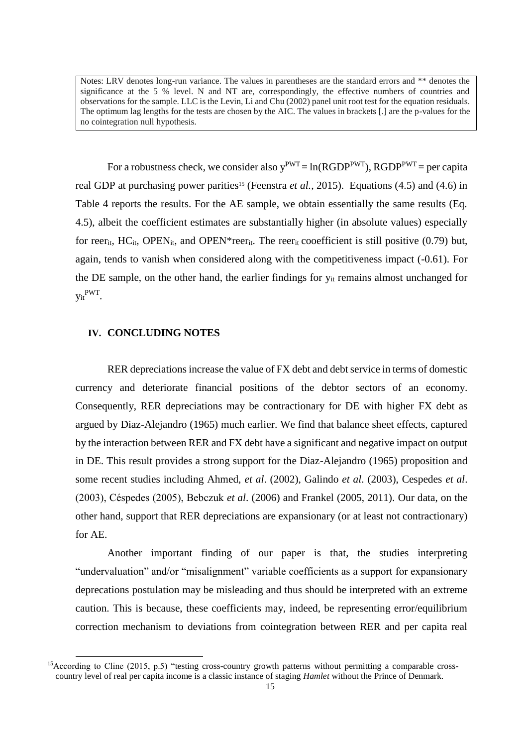Notes: LRV denotes long-run variance. The values in parentheses are the standard errors and \*\* denotes the significance at the 5 % level. N and NT are, correspondingly, the effective numbers of countries and observations for the sample. LLC is the Levin, Li and Chu (2002) panel unit root test for the equation residuals. The optimum lag lengths for the tests are chosen by the AIC. The values in brackets [.] are the p-values for the no cointegration null hypothesis.

For a robustness check, we consider also  $y^{PWT} = ln(RGDP^{PWT})$ ,  $RGDP^{PWT} = per$  capita real GDP at purchasing power parities<sup>15</sup> (Feenstra *et al.*, 2015). Equations (4.5) and (4.6) in Table 4 reports the results. For the AE sample, we obtain essentially the same results (Eq. 4.5), albeit the coefficient estimates are substantially higher (in absolute values) especially for reer<sub>it</sub>, HC<sub>it</sub>, OPEN<sub>it</sub>, and OPEN<sup>\*</sup>reer<sub>it</sub>. The reer<sub>it</sub> cooefficient is still positive (0.79) but, again, tends to vanish when considered along with the competitiveness impact (-0.61). For the DE sample, on the other hand, the earlier findings for y<sub>it</sub> remains almost unchanged for y<sub>it</sub>PWT.

### **IV. CONCLUDING NOTES**

-

RER depreciations increase the value of FX debt and debt service in terms of domestic currency and [deteriorate](https://www.google.com.tr/search?biw=1252&bih=604&q=deteriorate&spell=1&sa=X&ved=0ahUKEwjEgKH8o-LOAhWKbxQKHX_NAyUQvwUIFygA) financial positions of the debtor sectors of an economy. Consequently, RER depreciations may be contractionary for DE with higher FX debt as argued by Diaz-Alejandro (1965) much earlier. We find that balance sheet effects, captured by the interaction between RER and FX debt have a significant and negative impact on output in DE. This result provides a strong support for the Diaz-Alejandro (1965) proposition and some recent studies including Ahmed, *et al*. (2002), Galindo *et al*. (2003), Cespedes *et al*. (2003), Céspedes (2005), Bebczuk *et al*. (2006) and Frankel (2005, 2011). Our data, on the other hand, support that RER depreciations are expansionary (or at least not contractionary) for AE.

Another important finding of our paper is that, the studies interpreting "undervaluation" and/or "misalignment" variable coefficients as a support for expansionary deprecations postulation may be misleading and thus should be interpreted with an extreme caution. This is because, these coefficients may, indeed, be representing error/equilibrium correction mechanism to deviations from cointegration between RER and per capita real

<sup>&</sup>lt;sup>15</sup>According to Cline (2015, p.5) "testing cross-country growth patterns without permitting a comparable crosscountry level of real per capita income is a classic instance of staging *Hamlet* without the Prince of Denmark.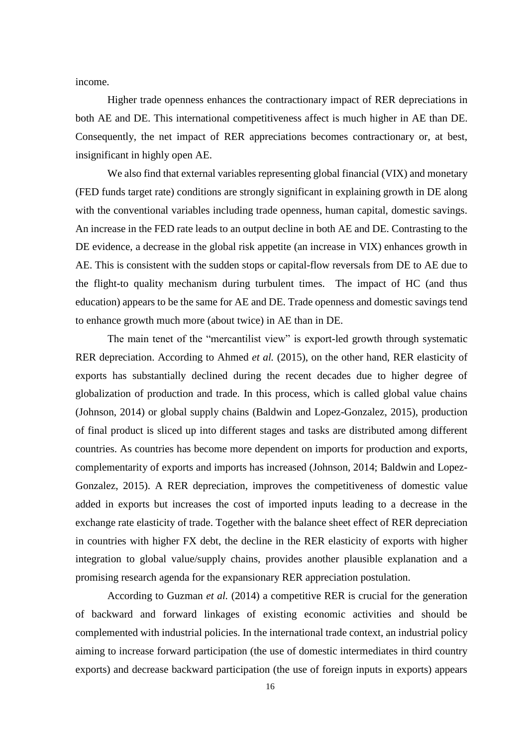income.

Higher trade openness enhances the contractionary impact of RER depreciations in both AE and DE. This international competitiveness affect is much higher in AE than DE. Consequently, the net impact of RER appreciations becomes contractionary or, at best, insignificant in highly open AE.

We also find that external variables representing global financial (VIX) and monetary (FED funds target rate) conditions are strongly significant in explaining growth in DE along with the conventional variables including trade openness, human capital, domestic savings. An increase in the FED rate leads to an output decline in both AE and DE. Contrasting to the DE evidence, a decrease in the global risk appetite (an increase in VIX) enhances growth in AE. This is consistent with the sudden stops or capital-flow reversals from DE to AE due to the flight-to quality mechanism during turbulent times. The impact of HC (and thus education) appears to be the same for AE and DE. Trade openness and domestic savings tend to enhance growth much more (about twice) in AE than in DE.

The main tenet of the "mercantilist view" is export-led growth through systematic RER depreciation. According to Ahmed *et al.* (2015), on the other hand, RER elasticity of exports has substantially declined during the recent decades due to higher degree of globalization of production and trade. In this process, which is called global value chains (Johnson, 2014) or global supply chains (Baldwin and Lopez-Gonzalez, 2015), production of final product is sliced up into different stages and tasks are distributed among different countries. As countries has become more dependent on imports for production and exports, complementarity of exports and imports has increased (Johnson, 2014; Baldwin and Lopez-Gonzalez, 2015). A RER depreciation, improves the competitiveness of domestic value added in exports but increases the cost of imported inputs leading to a decrease in the exchange rate elasticity of trade. Together with the balance sheet effect of RER depreciation in countries with higher FX debt, the decline in the RER elasticity of exports with higher integration to global value/supply chains, provides another plausible explanation and a promising research agenda for the expansionary RER appreciation postulation.

According to Guzman *et al.* (2014) a competitive RER is crucial for the generation of backward and forward linkages of existing economic activities and should be complemented with industrial policies. In the international trade context, an industrial policy aiming to increase forward participation (the use of domestic intermediates in third country exports) and decrease backward participation (the use of foreign inputs in exports) appears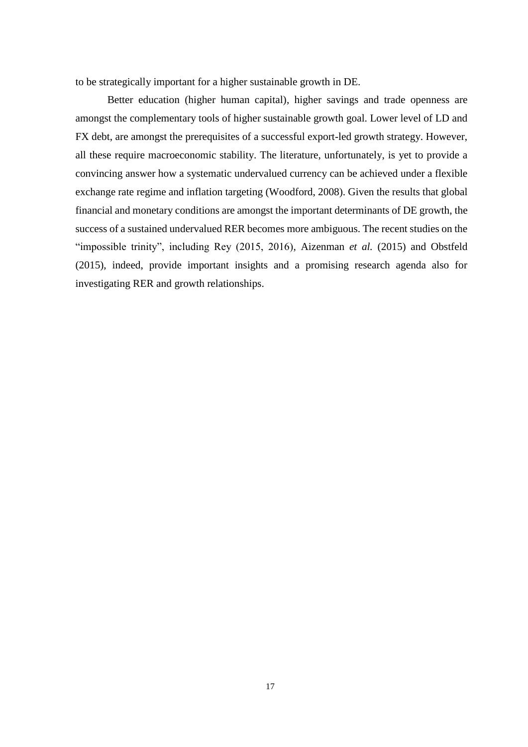to be strategically important for a higher sustainable growth in DE.

Better education (higher human capital), higher savings and trade openness are amongst the complementary tools of higher sustainable growth goal. Lower level of LD and FX debt, are amongst the prerequisites of a successful export-led growth strategy. However, all these require macroeconomic stability. The literature, unfortunately, is yet to provide a convincing answer how a systematic undervalued currency can be achieved under a flexible exchange rate regime and inflation targeting (Woodford, 2008). Given the results that global financial and monetary conditions are amongst the important determinants of DE growth, the success of a sustained undervalued RER becomes more [ambiguous.](https://eksisozluk.com/ambiguous--238403) The recent studies on the "impossible trinity", including Rey (2015, 2016), Aizenman *et al.* (2015) and Obstfeld (2015), indeed, provide important insights and a promising research agenda also for investigating RER and growth relationships.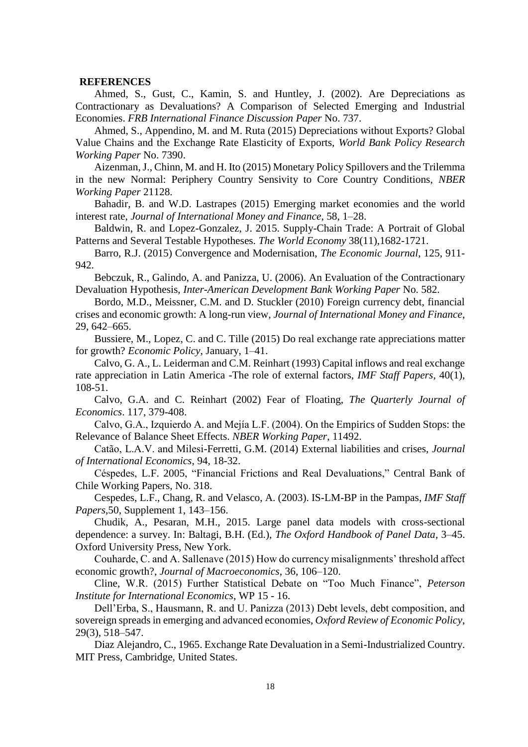#### **REFERENCES**

Ahmed, S., Gust, C., Kamin, S. and Huntley, J. (2002). Are Depreciations as Contractionary as Devaluations? A Comparison of Selected Emerging and Industrial Economies. *FRB International Finance Discussion Paper* No. 737.

Ahmed, S., Appendino, M. and M. Ruta (2015) Depreciations without Exports? Global Value Chains and the Exchange Rate Elasticity of Exports, *World Bank Policy Research Working Paper* No. 7390.

Aizenman, J., Chinn, M. and H. Ito (2015) Monetary Policy Spillovers and the Trilemma in the new Normal: Periphery Country Sensivity to Core Country Conditions, *NBER Working Paper* 21128.

Bahadir, B. and W.D. Lastrapes (2015) Emerging market economies and the world interest rate, *Journal of International Money and Finance*, 58, 1–28.

Baldwin, R. and Lopez-Gonzalez, J. 2015. Supply-Chain Trade: A Portrait of Global Patterns and Several Testable Hypotheses. *The World Economy* 38(11),1682-1721.

Barro, R.J. (2015) Convergence and Modernisation, *The Economic Journal*, 125, 911- 942.

Bebczuk, R., Galindo, A. and Panizza, U. (2006). An Evaluation of the Contractionary Devaluation Hypothesis, *Inter-American Development Bank Working Paper* No. 582.

Bordo, M.D., Meissner, C.M. and D. Stuckler (2010) Foreign currency debt, financial crises and economic growth: A long-run view, *Journal of International Money and Finance*, 29, 642–665.

Bussiere, M., Lopez, C. and C. Tille (2015) Do real exchange rate appreciations matter for growth? *Economic Policy*, January, 1–41.

Calvo, G. A., L. Leiderman and C.M. Reinhart (1993) Capital inflows and real exchange rate appreciation in Latin America -The role of external factors, *IMF Staff Papers*, 40(1), 108-51.

Calvo, G.A. and C. [Reinhart](http://citec.repec.org/pre33) (2002) Fear of Floating, *[The Quarterly Journal of](http://citec.repec.org/s/2013/tprqjecon.html)  [Economics](http://citec.repec.org/s/2013/tprqjecon.html)*. 117, 379-408.

Calvo, G.A., Izquierdo A. and Mejía L.F. (2004). On the Empirics of Sudden Stops: the Relevance of Balance Sheet Effects. *NBER Working Paper*, 11492.

Catão, L.A.V. and Milesi-Ferretti, G.M. (2014) External liabilities and crises, *Journal of International Economics*, 94, 18-32.

Céspedes, L.F. 2005, "Financial Frictions and Real Devaluations," Central Bank of Chile Working Papers, No. 318.

Cespedes, L.F., Chang, R. and Velasco, A. (2003). IS-LM-BP in the Pampas, *[IMF Staff](http://link.springer.com/journal/41308)  [Papers](http://link.springer.com/journal/41308)*,50, [Supplement](http://link.springer.com/journal/41308/50/1/suppl/page/1) 1, 143–156.

Chudik, A., Pesaran, M.H., 2015. Large panel data models with cross-sectional dependence: a survey. In: Baltagi, B.H. (Ed.), *The Oxford Handbook of Panel Data*, 3–45. Oxford University Press, New York.

Couharde, C. and A. Sallenave (2015) How do currency misalignments' threshold affect economic growth?, *Journal of Macroeconomics*, 36, 106–120.

Cline, W.R. (2015) Further Statistical Debate on "Too Much Finance", *Peterson Institute for International Economics*, WP 15 - 16.

Dell'Erba, S., Hausmann, R. and U. Panizza (2013) Debt levels, debt composition, and sovereign spreads in emerging and advanced economies, *Oxford Review of Economic Policy*, 29(3), 518–547.

Diaz Alejandro, C., 1965. Exchange Rate Devaluation in a Semi-Industrialized Country. MIT Press, Cambridge, United States.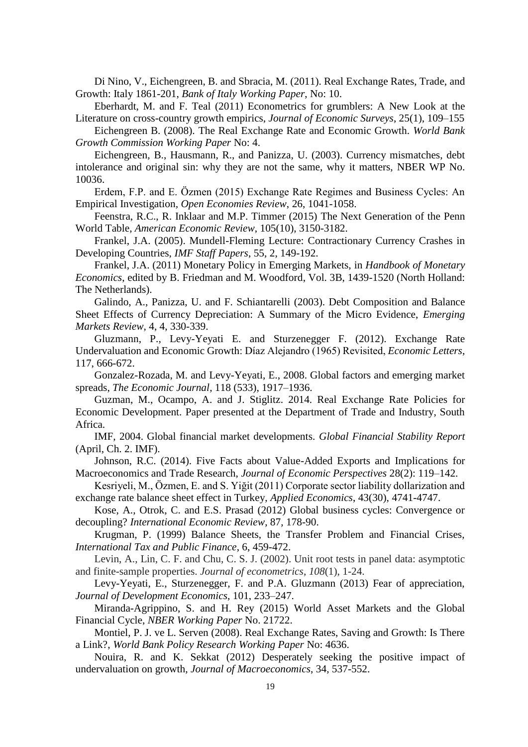Di Nino, V., Eichengreen, B. and Sbracia, M. (2011). Real Exchange Rates, Trade, and Growth: Italy 1861-201, *Bank of Italy Working Paper*, No: 10.

Eberhardt, M. and F. Teal (2011) Econometrics for grumblers: A New Look at the Literature on cross-country growth empirics, *Journal of Economic Surveys*, 25(1), 109–155

Eichengreen B. (2008). The Real Exchange Rate and Economic Growth. *World Bank Growth Commission Working Paper* No: 4.

Eichengreen, B., Hausmann, R., and Panizza, U. (2003). Currency mismatches, debt intolerance and original sin: why they are not the same, why it matters, NBER WP No. 10036.

Erdem, F.P. and E. Özmen (2015) Exchange Rate Regimes and Business Cycles: An Empirical Investigation*, Open Economies Review*, 26, 1041-1058.

Feenstra, R.C., R. Inklaar and M.P. Timmer (2015) The Next Generation of the Penn World Table, *American Economic Review*, 105(10), 3150-3182.

Frankel, J.A. (2005). Mundell-Fleming Lecture: Contractionary Currency Crashes in Developing Countries, *IMF Staff Papers*, 55, 2, 149-192.

Frankel, J.A. (2011) Monetary Policy in Emerging Markets, in *Handbook of Monetary Economics*, edited by B. Friedman and M. Woodford, Vol. 3B, 1439-1520 (North Holland: The Netherlands).

Galindo, A., Panizza, U. and F. Schiantarelli (2003). Debt Composition and Balance Sheet Effects of Currency Depreciation: A Summary of the Micro Evidence, *Emerging Markets Review*, 4, 4, 330-339.

Gluzmann, P., Levy-Yeyati E. and Sturzenegger F. (2012). Exchange Rate Undervaluation and Economic Growth: Díaz Alejandro (1965) Revisited, *Economic Letters*, 117, 666-672.

Gonzalez-Rozada, M. and Levy-Yeyati, E., 2008. Global factors and emerging market spreads, *The Economic Journal*, 118 (533), 1917–1936.

Guzman, M., Ocampo, A. and J. Stiglitz. 2014. Real Exchange Rate Policies for Economic Development. Paper presented at the Department of Trade and Industry, South Africa.

IMF, 2004. Global financial market developments. *Global Financial Stability Report* (April, Ch. 2. IMF).

Johnson, R.C. (2014). Five Facts about Value-Added Exports and Implications for Macroeconomics and Trade Research, *Journal of Economic Perspectives* 28(2): 119–142.

Kesriyeli, M., Özmen, E. and S. Yiğit (2011) Corporate sector liability dollarization and exchange rate balance sheet effect in Turkey, *Applied Economics*, 43(30), 4741-4747.

Kose, A., Otrok, C. and E.S. Prasad (2012) Global business cycles: Convergence or decoupling? *International Economic Review*, 87, 178-90.

Krugman, P. (1999) Balance Sheets, the Transfer Problem and Financial Crises, *International Tax and Public Finance*, 6, 459-472.

Levin, A., Lin, C. F. and Chu, C. S. J. (2002). Unit root tests in panel data: asymptotic and finite-sample properties. *Journal of econometrics*, *108*(1), 1-24.

Levy-Yeyati, E., Sturzenegger, F. and P.A. Gluzmann (2013) Fear of appreciation, *Journal of Development Economics*, 101, 233–247.

Miranda-Agrippino, S. and H. Rey (2015) World Asset Markets and the Global Financial Cycle, *NBER Working Paper* No. 21722.

Montiel, P. J. ve L. Serven (2008). Real Exchange Rates, Saving and Growth: Is There a Link?, *World Bank Policy Research Working Paper* No: 4636.

Nouira, R. and K. Sekkat (2012) Desperately seeking the positive impact of undervaluation on growth, *Journal of Macroeconomics*, 34, 537-552.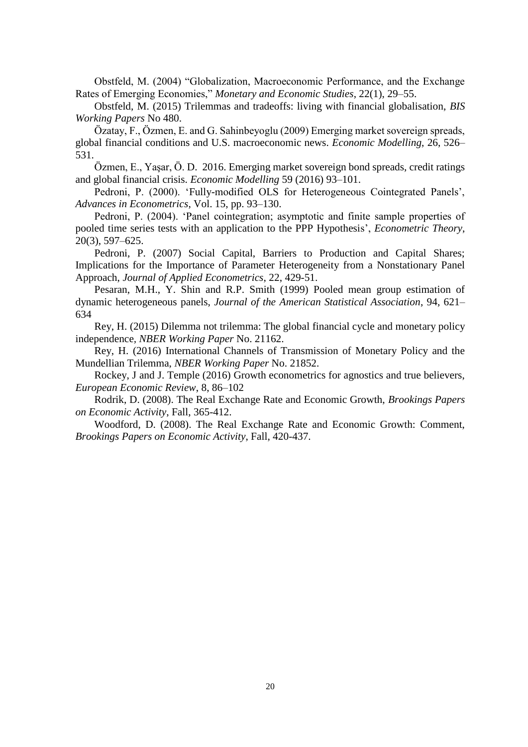Obstfeld, M. (2004) "Globalization, Macroeconomic Performance, and the Exchange Rates of Emerging Economies," *Monetary and Economic Studies*, 22(1), 29–55.

Obstfeld, M. (2015) Trilemmas and tradeoffs: living with financial globalisation, *BIS Working Papers* No 480.

Özatay, F., Özmen, E. and G. Sahinbeyoglu (2009) Emerging market sovereign spreads, global financial conditions and U.S. macroeconomic news. *Economic Modelling*, 26, 526– 531.

Özmen, E., Yaşar, Ö. D. 2016. Emerging market sovereign bond spreads, credit ratings and global financial crisis. *Economic Modelling* 59 (2016) 93–101.

Pedroni, P. (2000). 'Fully-modified OLS for Heterogeneous Cointegrated Panels', *Advances in Econometrics*, Vol. 15, pp. 93–130.

Pedroni, P. (2004). 'Panel cointegration; asymptotic and finite sample properties of pooled time series tests with an application to the PPP Hypothesis', *Econometric Theory*, 20(3), 597–625.

Pedroni, P. (2007) Social Capital, Barriers to Production and Capital Shares; Implications for the Importance of Parameter Heterogeneity from a Nonstationary Panel Approach, *Journal of Applied Econometrics*, 22, 429-51.

Pesaran, M.H., Y. Shin and R.P. Smith (1999) Pooled mean group estimation of dynamic heterogeneous panels, *Journal of the American Statistical Association*, 94, 621– 634

Rey, H. (2015) Dilemma not trilemma: The global financial cycle and monetary policy independence*, NBER Working Paper* No. 21162.

Rey, H. (2016) International Channels of Transmission of Monetary Policy and the Mundellian Trilemma, *NBER Working Paper* No. 21852.

Rockey, J and J. Temple (2016) Growth econometrics for agnostics and true believers, *European Economic Review*, 8, 86–102

Rodrik, D. (2008). The Real Exchange Rate and Economic Growth, *Brookings Papers on Economic Activity*, Fall, 365-412.

Woodford, D. (2008). The Real Exchange Rate and Economic Growth: Comment, *Brookings Papers on Economic Activity*, Fall, 420-437.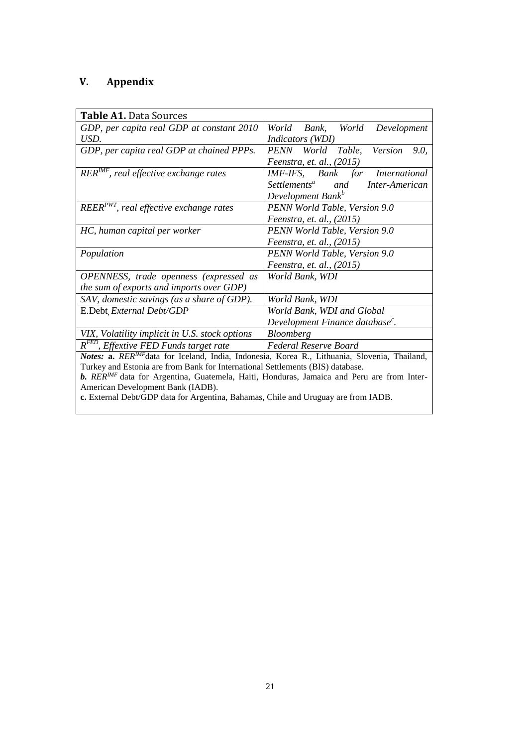### **V. Appendix**

| <b>Table A1. Data Sources</b>                                                                |                                                   |  |  |  |  |
|----------------------------------------------------------------------------------------------|---------------------------------------------------|--|--|--|--|
| GDP, per capita real GDP at constant 2010                                                    | World Bank, World Development                     |  |  |  |  |
| USD.                                                                                         | <i>Indicators</i> (WDI)                           |  |  |  |  |
| GDP, per capita real GDP at chained PPPs.                                                    | PENN World Table, Version<br>9.0.                 |  |  |  |  |
|                                                                                              | <i>Feenstra, et. al., (2015)</i>                  |  |  |  |  |
| $RER^{IMF}$ , real effective exchange rates                                                  | IMF-IFS, Bank for International                   |  |  |  |  |
|                                                                                              | Settlements <sup>a</sup><br>and<br>Inter-American |  |  |  |  |
|                                                                                              | Development Bank <sup>b</sup>                     |  |  |  |  |
| $REER^{PWT}$ , real effective exchange rates                                                 | PENN World Table, Version 9.0                     |  |  |  |  |
|                                                                                              | Feenstra, et. al., (2015)                         |  |  |  |  |
| HC, human capital per worker                                                                 | PENN World Table, Version 9.0                     |  |  |  |  |
|                                                                                              | Feenstra, et. al., (2015)                         |  |  |  |  |
| Population                                                                                   | PENN World Table, Version 9.0                     |  |  |  |  |
|                                                                                              | Feenstra, et. al., (2015)                         |  |  |  |  |
| <b>OPENNESS</b> , trade openness (expressed as                                               | World Bank, WDI                                   |  |  |  |  |
| the sum of exports and imports over GDP)                                                     |                                                   |  |  |  |  |
| SAV, domestic savings (as a share of GDP).                                                   | World Bank, WDI                                   |  |  |  |  |
| E.Debt External Debt/GDP                                                                     | World Bank, WDI and Global                        |  |  |  |  |
| Development Finance database <sup>c</sup> .                                                  |                                                   |  |  |  |  |
| VIX, Volatility implicit in U.S. stock options                                               | <b>Bloomberg</b>                                  |  |  |  |  |
| $\overline{R^{FED}}$ , Effextive FED Funds target rate                                       | Federal Reserve Board                             |  |  |  |  |
| Notes: a. RERIMFdata for Iceland, India, Indonesia, Korea R., Lithuania, Slovenia, Thailand, |                                                   |  |  |  |  |
| Turkey and Estonia are from Bank for International Settlements (BIS) database.               |                                                   |  |  |  |  |
| b. RERIMF data for Argentina, Guatemela, Haiti, Honduras, Jamaica and Peru are from Inter-   |                                                   |  |  |  |  |
| American Development Bank (IADB).                                                            |                                                   |  |  |  |  |
| c. External Debt/GDP data for Argentina, Bahamas, Chile and Uruguay are from IADB.           |                                                   |  |  |  |  |
|                                                                                              |                                                   |  |  |  |  |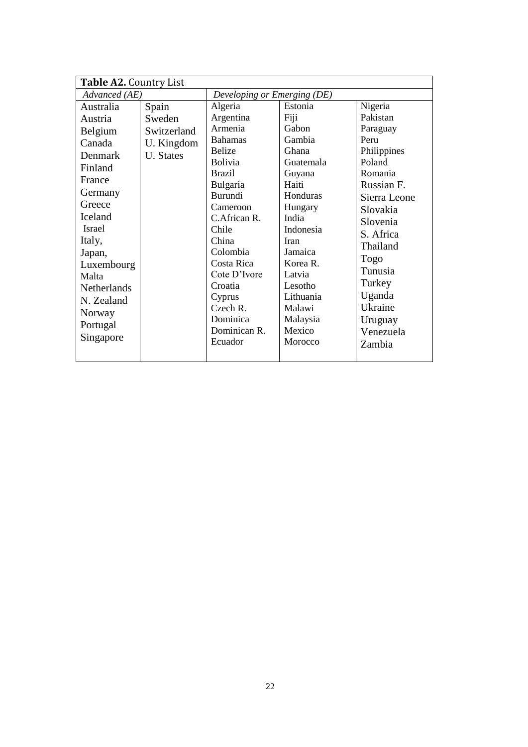| Table A2. Country List |             |                             |           |              |  |
|------------------------|-------------|-----------------------------|-----------|--------------|--|
| Advanced (AE)          |             | Developing or Emerging (DE) |           |              |  |
| Australia              | Spain       | Algeria                     | Estonia   | Nigeria      |  |
| Austria                | Sweden      | Argentina                   | Fiji      | Pakistan     |  |
| Belgium                | Switzerland | Armenia                     | Gabon     | Paraguay     |  |
| Canada                 | U. Kingdom  | <b>Bahamas</b>              | Gambia    | Peru         |  |
| Denmark                | U. States   | <b>Belize</b>               | Ghana     | Philippines  |  |
| Finland                |             | <b>Bolivia</b>              | Guatemala | Poland       |  |
| France                 |             | <b>Brazil</b>               | Guyana    | Romania      |  |
|                        |             | Bulgaria                    | Haiti     | Russian F.   |  |
| Germany                |             | Burundi                     | Honduras  | Sierra Leone |  |
| Greece                 |             | Cameroon                    | Hungary   | Slovakia     |  |
| Iceland                |             | C.African R.                | India     | Slovenia     |  |
| Israel                 |             | Chile                       | Indonesia | S. Africa    |  |
| Italy,                 |             | China                       | Iran      | Thailand     |  |
| Japan,                 |             | Colombia                    | Jamaica   | Togo         |  |
| Luxembourg             |             | Costa Rica                  | Korea R.  |              |  |
| Malta                  |             | Cote D'Ivore                | Latvia    | Tunusia      |  |
| Netherlands            |             | Croatia                     | Lesotho   | Turkey       |  |
| N. Zealand             |             | Cyprus                      | Lithuania | Uganda       |  |
| Norway                 |             | $C$ zech $R$ .              | Malawi    | Ukraine      |  |
| Portugal               |             | Dominica                    | Malaysia  | Uruguay      |  |
| Singapore              |             | Dominican R.                | Mexico    | Venezuela    |  |
|                        |             | Ecuador                     | Morocco   | Zambia       |  |
|                        |             |                             |           |              |  |